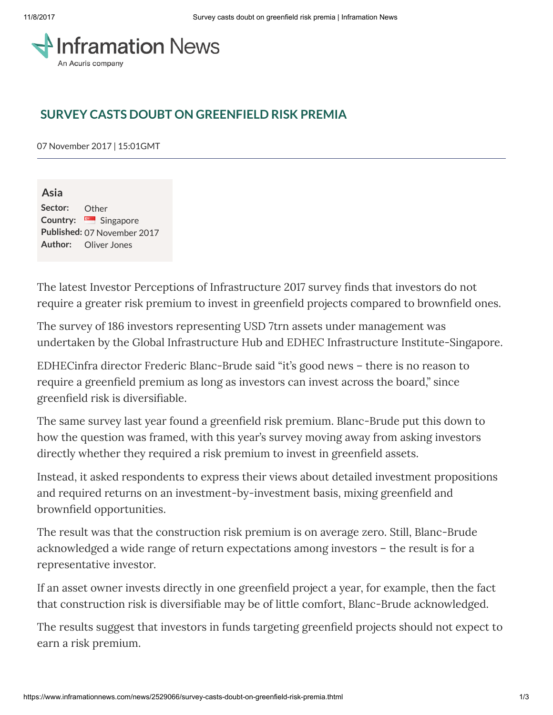

## SURVEY CASTS DOUBT ON GREENFIELD RISK PREMIA

07 November 2017 | 15:01GMT

Asia Sector: Other Country: Singapore Published: 07 November 2017 Author: Oliver Jones

The latest Investor Perceptions of Infrastructure 2017 survey finds that investors do not require a greater risk premium to invest in greenfield projects compared to brownfield ones.

The survey of 186 investors representing USD 7trn assets under management was undertaken by the Global Infrastructure Hub and EDHEC Infrastructure Institute-Singapore.

EDHECinfra director Frederic Blanc-Brude said "it's good news – there is no reason to require a greenfield premium as long as investors can invest across the board," since greenfield risk is diversifiable.

The same survey last year found a greenfield risk premium. Blanc-Brude put this down to how the question was framed, with this year's survey moving away from asking investors directly whether they required a risk premium to invest in greenfield assets.

Instead, it asked respondents to express their views about detailed investment propositions and required returns on an investment-by-investment basis, mixing greenfield and brownfield opportunities.

The result was that the construction risk premium is on average zero. Still, Blanc-Brude acknowledged a wide range of return expectations among investors – the result is for a representative investor.

If an asset owner invests directly in one greenfield project a year, for example, then the fact that construction risk is diversifiable may be of little comfort, Blanc-Brude acknowledged.

The results suggest that investors in funds targeting greenfield projects should not expect to earn a risk premium.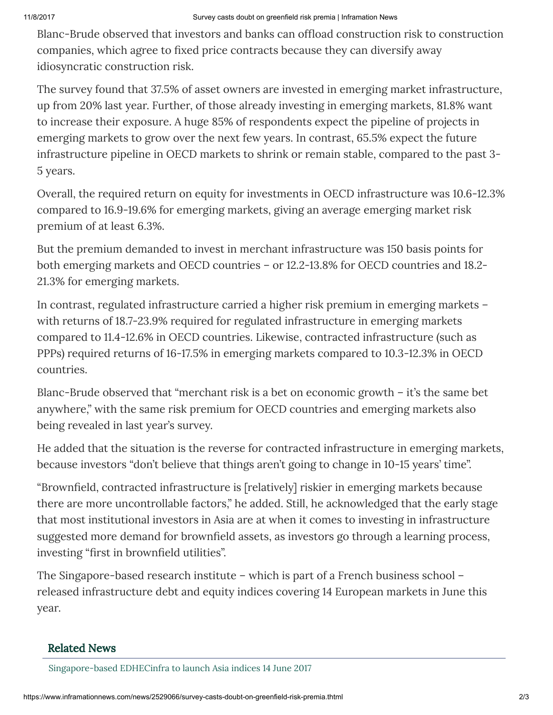Blanc-Brude observed that investors and banks can offload construction risk to construction companies, which agree to fixed price contracts because they can diversify away idiosyncratic construction risk.

The survey found that 37.5% of asset owners are invested in emerging market infrastructure, up from 20% last year. Further, of those already investing in emerging markets, 81.8% want to increase their exposure. A huge 85% of respondents expect the pipeline of projects in emerging markets to grow over the next few years. In contrast, 65.5% expect the future infrastructure pipeline in OECD markets to shrink or remain stable, compared to the past 3- 5 years.

Overall, the required return on equity for investments in OECD infrastructure was 10.6-12.3% compared to 16.9-19.6% for emerging markets, giving an average emerging market risk premium of at least 6.3%.

But the premium demanded to invest in merchant infrastructure was 150 basis points for both emerging markets and OECD countries – or 12.2-13.8% for OECD countries and 18.2- 21.3% for emerging markets.

In contrast, regulated infrastructure carried a higher risk premium in emerging markets – with returns of 18.7-23.9% required for regulated infrastructure in emerging markets compared to 11.4-12.6% in OECD countries. Likewise, contracted infrastructure (such as PPPs) required returns of 16-17.5% in emerging markets compared to 10.3-12.3% in OECD countries.

Blanc-Brude observed that "merchant risk is a bet on economic growth – it's the same bet anywhere," with the same risk premium for OECD countries and emerging markets also being revealed in last year's survey.

He added that the situation is the reverse for contracted infrastructure in emerging markets, because investors "don't believe that things aren't going to change in 10-15 years' time".

"Brownfield, contracted infrastructure is [relatively] riskier in emerging markets because there are more uncontrollable factors," he added. Still, he acknowledged that the early stage that most institutional investors in Asia are at when it comes to investing in infrastructure suggested more demand for brownfield assets, as investors go through a learning process, investing "first in brownfield utilities".

The Singapore-based research institute – which is part of a French business school – released infrastructure debt and equity indices covering 14 European markets in June this year.

## Related News

[Singapore-based](https://www.inframationnews.com/news/2265531/singaporebased-edhecinfra-to-launch-asia-indices.thtml) EDHECinfra to launch Asia indices 14 June 2017